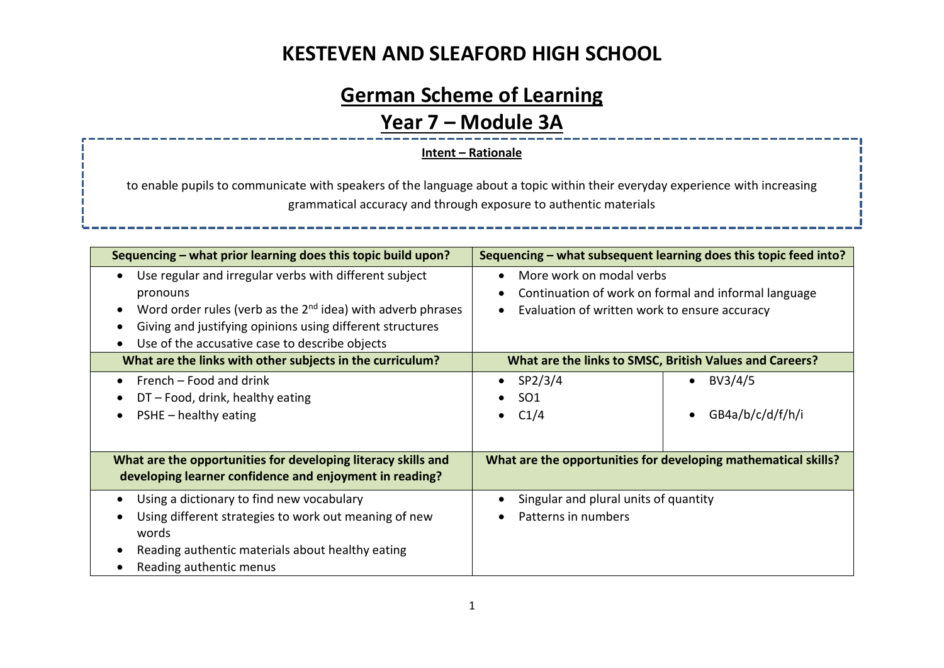# **German Scheme of Learning**

#### **Year 7 – Module 3A**

#### **Intent – Rationale**

to enable pupils to communicate with speakers of the language about a topic within their everyday experience with increasing grammatical accuracy and through exposure to authentic materials

| Sequencing – what prior learning does this topic build upon?                                                                                                                                                                                                                              | Sequencing – what subsequent learning does this topic feed into?                                                                  |  |  |
|-------------------------------------------------------------------------------------------------------------------------------------------------------------------------------------------------------------------------------------------------------------------------------------------|-----------------------------------------------------------------------------------------------------------------------------------|--|--|
| Use regular and irregular verbs with different subject<br>$\bullet$<br>pronouns<br>Word order rules (verb as the $2nd$ idea) with adverb phrases<br>$\bullet$<br>Giving and justifying opinions using different structures<br>Use of the accusative case to describe objects<br>$\bullet$ | More work on modal verbs<br>Continuation of work on formal and informal language<br>Evaluation of written work to ensure accuracy |  |  |
| What are the links with other subjects in the curriculum?                                                                                                                                                                                                                                 | What are the links to SMSC, British Values and Careers?                                                                           |  |  |
| French – Food and drink<br>$\bullet$<br>DT - Food, drink, healthy eating<br>$PSHE$ – healthy eating                                                                                                                                                                                       | SP2/3/4<br>BV3/4/5<br>$\bullet$<br>SO <sub>1</sub><br>GB4a/b/c/d/f/h/i<br>C1/4<br>$\bullet$                                       |  |  |
| What are the opportunities for developing literacy skills and<br>developing learner confidence and enjoyment in reading?                                                                                                                                                                  | What are the opportunities for developing mathematical skills?                                                                    |  |  |
| Using a dictionary to find new vocabulary<br>$\bullet$<br>Using different strategies to work out meaning of new<br>words<br>Reading authentic materials about healthy eating<br>Reading authentic menus                                                                                   | Singular and plural units of quantity<br>Patterns in numbers                                                                      |  |  |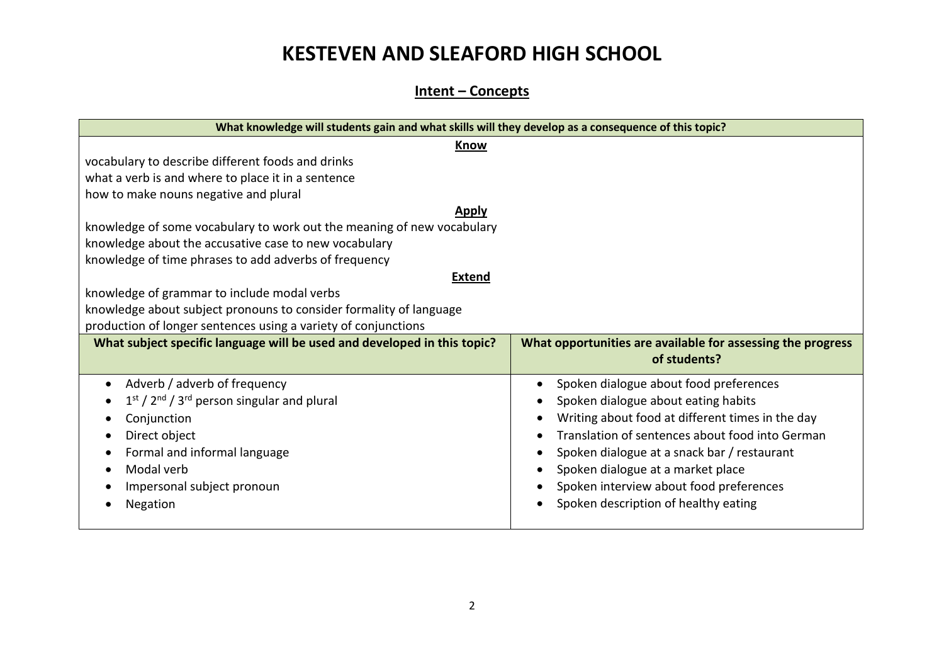#### **Intent – Concepts**

| What knowledge will students gain and what skills will they develop as a consequence of this topic? |                                                             |  |  |  |
|-----------------------------------------------------------------------------------------------------|-------------------------------------------------------------|--|--|--|
| Know                                                                                                |                                                             |  |  |  |
| vocabulary to describe different foods and drinks                                                   |                                                             |  |  |  |
| what a verb is and where to place it in a sentence                                                  |                                                             |  |  |  |
| how to make nouns negative and plural                                                               |                                                             |  |  |  |
| Apply                                                                                               |                                                             |  |  |  |
| knowledge of some vocabulary to work out the meaning of new vocabulary                              |                                                             |  |  |  |
| knowledge about the accusative case to new vocabulary                                               |                                                             |  |  |  |
| knowledge of time phrases to add adverbs of frequency                                               |                                                             |  |  |  |
| <b>Extend</b>                                                                                       |                                                             |  |  |  |
| knowledge of grammar to include modal verbs                                                         |                                                             |  |  |  |
| knowledge about subject pronouns to consider formality of language                                  |                                                             |  |  |  |
| production of longer sentences using a variety of conjunctions                                      |                                                             |  |  |  |
| What subject specific language will be used and developed in this topic?                            | What opportunities are available for assessing the progress |  |  |  |
|                                                                                                     | of students?                                                |  |  |  |
| Adverb / adverb of frequency                                                                        | Spoken dialogue about food preferences                      |  |  |  |
| $1st / 2nd / 3rd$ person singular and plural                                                        | Spoken dialogue about eating habits                         |  |  |  |
| Conjunction                                                                                         | Writing about food at different times in the day            |  |  |  |
| Direct object                                                                                       | Translation of sentences about food into German             |  |  |  |
| Formal and informal language                                                                        | Spoken dialogue at a snack bar / restaurant                 |  |  |  |
| Modal verb                                                                                          | Spoken dialogue at a market place                           |  |  |  |
| Impersonal subject pronoun                                                                          | Spoken interview about food preferences                     |  |  |  |
| Negation                                                                                            | Spoken description of healthy eating                        |  |  |  |
|                                                                                                     |                                                             |  |  |  |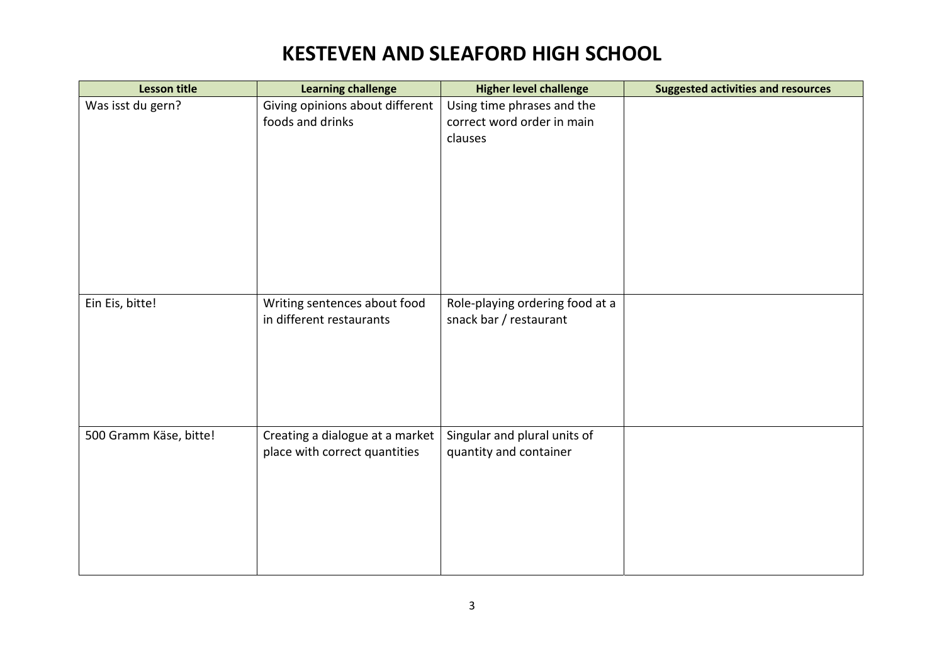| <b>Lesson title</b>    | <b>Learning challenge</b>       | <b>Higher level challenge</b>   | <b>Suggested activities and resources</b> |
|------------------------|---------------------------------|---------------------------------|-------------------------------------------|
| Was isst du gern?      | Giving opinions about different | Using time phrases and the      |                                           |
|                        | foods and drinks                | correct word order in main      |                                           |
|                        |                                 | clauses                         |                                           |
|                        |                                 |                                 |                                           |
|                        |                                 |                                 |                                           |
|                        |                                 |                                 |                                           |
|                        |                                 |                                 |                                           |
|                        |                                 |                                 |                                           |
|                        |                                 |                                 |                                           |
|                        |                                 |                                 |                                           |
|                        |                                 |                                 |                                           |
| Ein Eis, bitte!        | Writing sentences about food    | Role-playing ordering food at a |                                           |
|                        | in different restaurants        | snack bar / restaurant          |                                           |
|                        |                                 |                                 |                                           |
|                        |                                 |                                 |                                           |
|                        |                                 |                                 |                                           |
|                        |                                 |                                 |                                           |
|                        |                                 |                                 |                                           |
|                        |                                 |                                 |                                           |
| 500 Gramm Käse, bitte! | Creating a dialogue at a market | Singular and plural units of    |                                           |
|                        | place with correct quantities   | quantity and container          |                                           |
|                        |                                 |                                 |                                           |
|                        |                                 |                                 |                                           |
|                        |                                 |                                 |                                           |
|                        |                                 |                                 |                                           |
|                        |                                 |                                 |                                           |
|                        |                                 |                                 |                                           |
|                        |                                 |                                 |                                           |